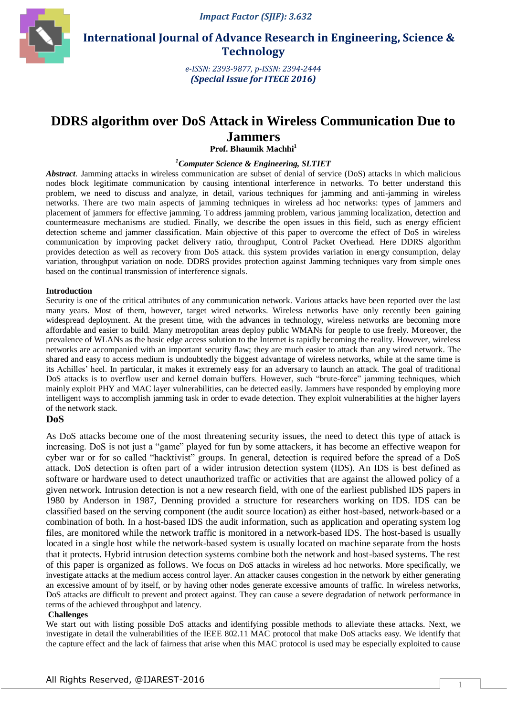

 **International Journal of Advance Research in Engineering, Science & Technology** 

> *e-ISSN: 2393-9877, p-ISSN: 2394-2444 (Special Issue for ITECE 2016)*

# **DDRS algorithm over DoS Attack in Wireless Communication Due to Jammers**

**Prof. Bhaumik Machhi<sup>1</sup>**

# *<sup>1</sup>Computer Science & Engineering, SLTIET*

*Abstract*. Jamming attacks in wireless communication are subset of denial of service (DoS) attacks in which malicious nodes block legitimate communication by causing intentional interference in networks. To better understand this problem, we need to discuss and analyze, in detail, various techniques for jamming and anti-jamming in wireless networks. There are two main aspects of jamming techniques in wireless ad hoc networks: types of jammers and placement of jammers for effective jamming. To address jamming problem, various jamming localization, detection and countermeasure mechanisms are studied. Finally, we describe the open issues in this field, such as energy efficient detection scheme and jammer classification. Main objective of this paper to overcome the effect of DoS in wireless communication by improving packet delivery ratio, throughput, Control Packet Overhead. Here DDRS algorithm provides detection as well as recovery from DoS attack. this system provides variation in energy consumption, delay variation, throughput variation on node. DDRS provides protection against Jamming techniques vary from simple ones based on the continual transmission of interference signals.

### **Introduction**

Security is one of the critical attributes of any communication network. Various attacks have been reported over the last many years. Most of them, however, target wired networks. Wireless networks have only recently been gaining widespread deployment. At the present time, with the advances in technology, wireless networks are becoming more affordable and easier to build. Many metropolitan areas deploy public WMANs for people to use freely. Moreover, the prevalence of WLANs as the basic edge access solution to the Internet is rapidly becoming the reality. However, wireless networks are accompanied with an important security flaw; they are much easier to attack than any wired network. The shared and easy to access medium is undoubtedly the biggest advantage of wireless networks, while at the same time is its Achilles' heel. In particular, it makes it extremely easy for an adversary to launch an attack. The goal of traditional DoS attacks is to overflow user and kernel domain buffers. However, such "brute-force" jamming techniques, which mainly exploit PHY and MAC layer vulnerabilities, can be detected easily. Jammers have responded by employing more intelligent ways to accomplish jamming task in order to evade detection. They exploit vulnerabilities at the higher layers of the network stack.

# **DoS**

As DoS attacks become one of the most threatening security issues, the need to detect this type of attack is increasing. DoS is not just a "game" played for fun by some attackers, it has become an effective weapon for cyber war or for so called "hacktivist" groups. In general, detection is required before the spread of a DoS attack. DoS detection is often part of a wider intrusion detection system (IDS). An IDS is best defined as software or hardware used to detect unauthorized traffic or activities that are against the allowed policy of a given network. Intrusion detection is not a new research field, with one of the earliest published IDS papers in 1980 by Anderson in 1987, Denning provided a structure for researchers working on IDS. IDS can be classified based on the serving component (the audit source location) as either host-based, network-based or a combination of both. In a host-based IDS the audit information, such as application and operating system log files, are monitored while the network traffic is monitored in a network-based IDS. The host-based is usually located in a single host while the network-based system is usually located on machine separate from the hosts that it protects. Hybrid intrusion detection systems combine both the network and host-based systems. The rest of this paper is organized as follows. We focus on DoS attacks in wireless ad hoc networks. More specifically, we investigate attacks at the medium access control layer. An attacker causes congestion in the network by either generating an excessive amount of by itself, or by having other nodes generate excessive amounts of traffic. In wireless networks, DoS attacks are difficult to prevent and protect against. They can cause a severe degradation of network performance in terms of the achieved throughput and latency.

# **Challenges**

We start out with listing possible DoS attacks and identifying possible methods to alleviate these attacks. Next, we investigate in detail the vulnerabilities of the IEEE 802.11 MAC protocol that make DoS attacks easy. We identify that the capture effect and the lack of fairness that arise when this MAC protocol is used may be especially exploited to cause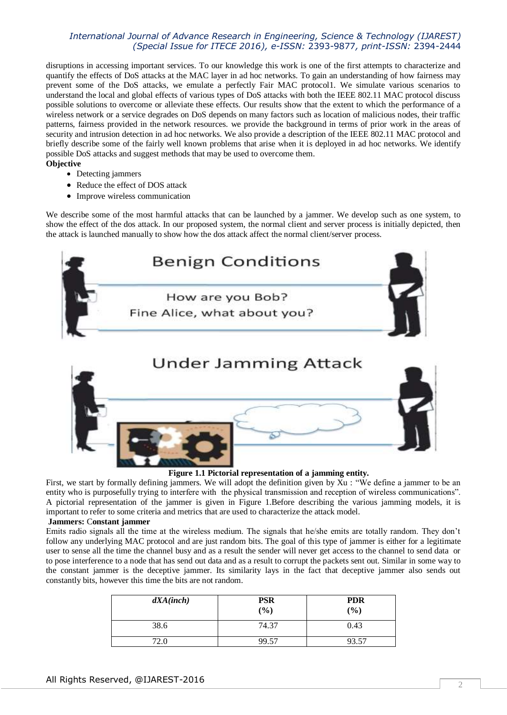disruptions in accessing important services. To our knowledge this work is one of the first attempts to characterize and quantify the effects of DoS attacks at the MAC layer in ad hoc networks. To gain an understanding of how fairness may prevent some of the DoS attacks, we emulate a perfectly Fair MAC protocol1. We simulate various scenarios to understand the local and global effects of various types of DoS attacks with both the IEEE 802.11 MAC protocol discuss possible solutions to overcome or alleviate these effects. Our results show that the extent to which the performance of a wireless network or a service degrades on DoS depends on many factors such as location of malicious nodes, their traffic patterns, fairness provided in the network resources. we provide the background in terms of prior work in the areas of security and intrusion detection in ad hoc networks. We also provide a description of the IEEE 802.11 MAC protocol and briefly describe some of the fairly well known problems that arise when it is deployed in ad hoc networks. We identify possible DoS attacks and suggest methods that may be used to overcome them. **Objective**

- Detecting jammers
- Reduce the effect of DOS attack
- Improve wireless communication

We describe some of the most harmful attacks that can be launched by a jammer. We develop such as one system, to show the effect of the dos attack. In our proposed system, the normal client and server process is initially depicted, then the attack is launched manually to show how the dos attack affect the normal client/server process.



**Figure 1.1 Pictorial representation of a jamming entity.**

First, we start by formally defining jammers. We will adopt the definition given by Xu : "We define a jammer to be an entity who is purposefully trying to interfere with the physical transmission and reception of wireless communications". A pictorial representation of the jammer is given in Figure 1.Before describing the various jamming models, it is important to refer to some criteria and metrics that are used to characterize the attack model.

### **Jammers:** C**onstant jammer**

Emits radio signals all the time at the wireless medium. The signals that he/she emits are totally random. They don't follow any underlying MAC protocol and are just random bits. The goal of this type of jammer is either for a legitimate user to sense all the time the channel busy and as a result the sender will never get access to the channel to send data or to pose interference to a node that has send out data and as a result to corrupt the packets sent out. Similar in some way to the constant jammer is the deceptive jammer. Its similarity lays in the fact that deceptive jammer also sends out constantly bits, however this time the bits are not random.

| dXA(inch) | <b>PSR</b><br>$\left( \frac{0}{0} \right)$ | <b>PDR</b><br>(%) |
|-----------|--------------------------------------------|-------------------|
| 38.6      | 74.37                                      | 0.43              |
| 72.0      | 99.57                                      | 93.57             |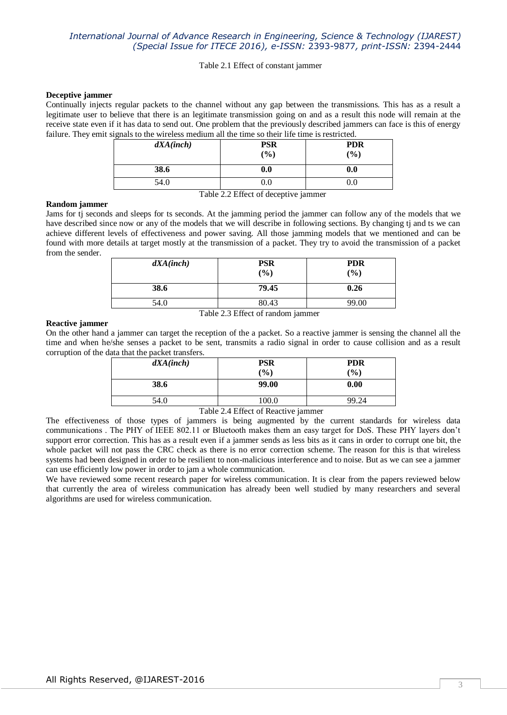Table 2.1 Effect of constant jammer

### **Deceptive jammer**

Continually injects regular packets to the channel without any gap between the transmissions. This has as a result a legitimate user to believe that there is an legitimate transmission going on and as a result this node will remain at the receive state even if it has data to send out. One problem that the previously described jammers can face is this of energy failure. They emit signals to the wireless medium all the time so their life time is restricted.

| dXA(inch) | <b>PSR</b><br>(%) | <b>PDR</b><br>$(\%)$ |
|-----------|-------------------|----------------------|
| 38.6      | 0.0               | 0.0                  |
| 54.0      | $0.0\,$           | $0.0\,$              |

Table 2.2 Effect of deceptive jammer

### **Random jammer**

Jams for tj seconds and sleeps for ts seconds. At the jamming period the jammer can follow any of the models that we have described since now or any of the models that we will describe in following sections. By changing tj and ts we can achieve different levels of effectiveness and power saving. All those jamming models that we mentioned and can be found with more details at target mostly at the transmission of a packet. They try to avoid the transmission of a packet from the sender.

| dXA(inch) | <b>PSR</b><br>$(\%)$                                                                                                                                                                                                                                                                                                                                                                                                                                                                              | <b>PDR</b><br>$(\%)$ |
|-----------|---------------------------------------------------------------------------------------------------------------------------------------------------------------------------------------------------------------------------------------------------------------------------------------------------------------------------------------------------------------------------------------------------------------------------------------------------------------------------------------------------|----------------------|
| 38.6      | 79.45                                                                                                                                                                                                                                                                                                                                                                                                                                                                                             | 0.26                 |
| 54.0      | 80.43                                                                                                                                                                                                                                                                                                                                                                                                                                                                                             | 99.00                |
|           | $\blacksquare$ $\blacksquare$ $\blacksquare$ $\blacksquare$ $\blacksquare$ $\blacksquare$ $\blacksquare$ $\blacksquare$ $\blacksquare$ $\blacksquare$ $\blacksquare$ $\blacksquare$ $\blacksquare$ $\blacksquare$ $\blacksquare$ $\blacksquare$ $\blacksquare$ $\blacksquare$ $\blacksquare$ $\blacksquare$ $\blacksquare$ $\blacksquare$ $\blacksquare$ $\blacksquare$ $\blacksquare$ $\blacksquare$ $\blacksquare$ $\blacksquare$ $\blacksquare$ $\blacksquare$ $\blacksquare$ $\blacks$<br>. . |                      |

Table 2.3 Effect of random jammer

### **Reactive jammer**

On the other hand a jammer can target the reception of the a packet. So a reactive jammer is sensing the channel all the time and when he/she senses a packet to be sent, transmits a radio signal in order to cause collision and as a result corruption of the data that the packet transfers.

| dXA(inch) | <b>PSR</b><br>$(\%)$ | <b>PDR</b><br>$(\%)$ |
|-----------|----------------------|----------------------|
| 38.6      | 99.00                | 0.00                 |
| 54.0      | 100.0                | 99.24                |

Table 2.4 Effect of Reactive jammer

The effectiveness of those types of jammers is being augmented by the current standards for wireless data communications . The PHY of IEEE 802.11 or Bluetooth makes them an easy target for DoS. These PHY layers don't support error correction. This has as a result even if a jammer sends as less bits as it cans in order to corrupt one bit, the whole packet will not pass the CRC check as there is no error correction scheme. The reason for this is that wireless systems had been designed in order to be resilient to non-malicious interference and to noise. But as we can see a jammer can use efficiently low power in order to jam a whole communication.

We have reviewed some recent research paper for wireless communication. It is clear from the papers reviewed below that currently the area of wireless communication has already been well studied by many researchers and several algorithms are used for wireless communication.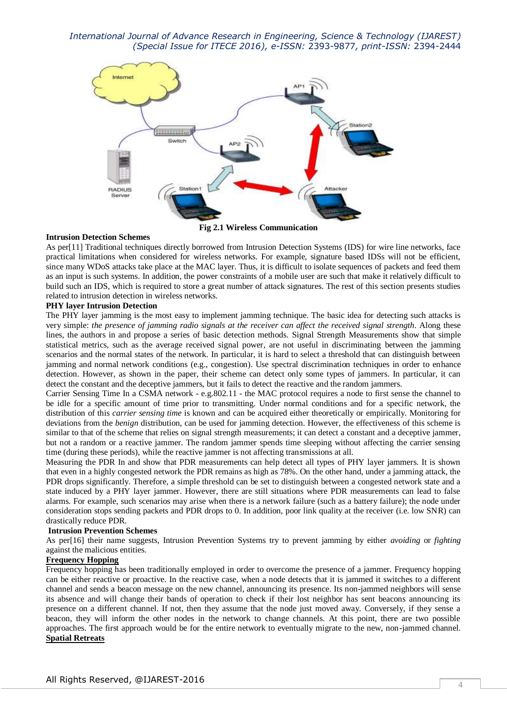

**Fig 2.1 Wireless Communication**

## **Intrusion Detection Schemes**

As per[11] Traditional techniques directly borrowed from Intrusion Detection Systems (IDS) for wire line networks, face practical limitations when considered for wireless networks. For example, signature based IDSs will not be efficient, since many WDoS attacks take place at the MAC layer. Thus, it is difficult to isolate sequences of packets and feed them as an input is such systems. In addition, the power constraints of a mobile user are such that make it relatively difficult to build such an IDS, which is required to store a great number of attack signatures. The rest of this section presents studies related to intrusion detection in wireless networks.

### **PHY layer Intrusion Detection**

The PHY layer jamming is the most easy to implement jamming technique. The basic idea for detecting such attacks is very simple: *the presence of jamming radio signals at the receiver can affect the received signal strength*. Along these lines, the authors in and propose a series of basic detection methods. Signal Strength Measurements show that simple statistical metrics, such as the average received signal power, are not useful in discriminating between the jamming scenarios and the normal states of the network. In particular, it is hard to select a threshold that can distinguish between jamming and normal network conditions (e.g., congestion). Use spectral discrimination techniques in order to enhance detection. However, as shown in the paper, their scheme can detect only some types of jammers. In particular, it can detect the constant and the deceptive jammers, but it fails to detect the reactive and the random jammers.

Carrier Sensing Time In a CSMA network - e.g.802.11 - the MAC protocol requires a node to first sense the channel to be idle for a specific amount of time prior to transmitting. Under normal conditions and for a specific network, the distribution of this *carrier sensing time* is known and can be acquired either theoretically or empirically. Monitoring for deviations from the *benign* distribution, can be used for jamming detection. However, the effectiveness of this scheme is similar to that of the scheme that relies on signal strength measurements; it can detect a constant and a deceptive jammer, but not a random or a reactive jammer. The random jammer spends time sleeping without affecting the carrier sensing time (during these periods), while the reactive jammer is not affecting transmissions at all.

Measuring the PDR In and show that PDR measurements can help detect all types of PHY layer jammers. It is shown that even in a highly congested network the PDR remains as high as 78%. On the other hand, under a jamming attack, the PDR drops significantly. Therefore, a simple threshold can be set to distinguish between a congested network state and a state induced by a PHY layer jammer. However, there are still situations where PDR measurements can lead to false alarms. For example, such scenarios may arise when there is a network failure (such as a battery failure); the node under consideration stops sending packets and PDR drops to 0. In addition, poor link quality at the receiver (i.e. low SNR) can drastically reduce PDR.

#### **Intrusion Prevention Schemes**

As per[16] their name suggests, Intrusion Prevention Systems try to prevent jamming by either *avoiding* or *fighting*  against the malicious entities.

### **Frequency Hopping**

Frequency hopping has been traditionally employed in order to overcome the presence of a jammer. Frequency hopping can be either reactive or proactive. In the reactive case, when a node detects that it is jammed it switches to a different channel and sends a beacon message on the new channel, announcing its presence. Its non-jammed neighbors will sense its absence and will change their bands of operation to check if their lost neighbor has sent beacons announcing its presence on a different channel. If not, then they assume that the node just moved away. Conversely, if they sense a beacon, they will inform the other nodes in the network to change channels. At this point, there are two possible approaches. The first approach would be for the entire network to eventually migrate to the new, non-jammed channel. **Spatial Retreats**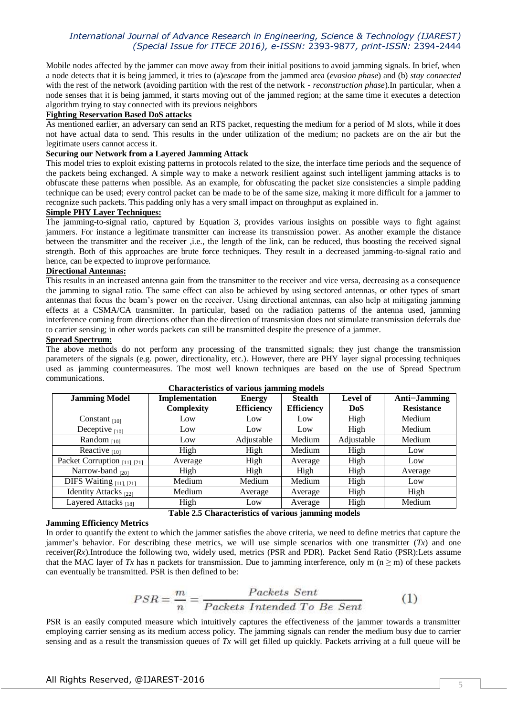Mobile nodes affected by the jammer can move away from their initial positions to avoid jamming signals. In brief, when a node detects that it is being jammed, it tries to (a)*escape* from the jammed area (*evasion phase*) and (b) *stay connected*  with the rest of the network (avoiding partition with the rest of the network - *reconstruction phase*).In particular, when a node senses that it is being jammed, it starts moving out of the jammed region; at the same time it executes a detection algorithm trying to stay connected with its previous neighbors

# **Fighting Reservation Based DoS attacks**

As mentioned earlier, an adversary can send an RTS packet, requesting the medium for a period of M slots, while it does not have actual data to send. This results in the under utilization of the medium; no packets are on the air but the legitimate users cannot access it.

# **Securing our Network from a Layered Jamming Attack**

This model tries to exploit existing patterns in protocols related to the size, the interface time periods and the sequence of the packets being exchanged. A simple way to make a network resilient against such intelligent jamming attacks is to obfuscate these patterns when possible. As an example, for obfuscating the packet size consistencies a simple padding technique can be used; every control packet can be made to be of the same size, making it more difficult for a jammer to recognize such packets. This padding only has a very small impact on throughput as explained in.

### **Simple PHY Layer Techniques:**

The jamming-to-signal ratio, captured by Equation 3, provides various insights on possible ways to fight against jammers. For instance a legitimate transmitter can increase its transmission power. As another example the distance between the transmitter and the receiver ,i.e., the length of the link, can be reduced, thus boosting the received signal strength. Both of this approaches are brute force techniques. They result in a decreased jamming-to-signal ratio and hence, can be expected to improve performance.

## **Directional Antennas:**

This results in an increased antenna gain from the transmitter to the receiver and vice versa, decreasing as a consequence the jamming to signal ratio. The same effect can also be achieved by using sectored antennas, or other types of smart antennas that focus the beam's power on the receiver. Using directional antennas, can also help at mitigating jamming effects at a CSMA/CA transmitter. In particular, based on the radiation patterns of the antenna used, jamming interference coming from directions other than the direction of transmission does not stimulate transmission deferrals due to carrier sensing; in other words packets can still be transmitted despite the presence of a jammer.

# **Spread Spectrum:**

The above methods do not perform any processing of the transmitted signals; they just change the transmission parameters of the signals (e.g. power, directionality, etc.). However, there are PHY layer signal processing techniques used as jamming countermeasures. The most well known techniques are based on the use of Spread Spectrum communications.

| <b>Jamming Model</b>                                | Implementation | <b>Energy</b>     | <b>Stealth</b>    | Level of         | Anti-Jamming      |
|-----------------------------------------------------|----------------|-------------------|-------------------|------------------|-------------------|
|                                                     | Complexity     | <b>Efficiency</b> | <b>Efficiency</b> | D <sub>o</sub> S | <b>Resistance</b> |
| Constant $_{[10]}$                                  | Low            | Low               | Low               | High             | Medium            |
| Deceptive $_{[10]}$                                 | Low            | Low               | Low               | High             | Medium            |
| Random $_{[10]}$                                    | Low            | Adjustable        | Medium            | Adjustable       | Medium            |
| Reactive $_{[10]}$                                  | High           | High              | Medium            | High             | Low               |
| Packet Corruption $_{[11],[21]}$                    | Average        | High              | Average           | High             | Low               |
| Narrow-band $_{[20]}$                               | High           | High              | High              | High             | Average           |
| $\overline{DIFS}$ Waiting [11], [21]                | Medium         | Medium            | Medium            | High             | Low               |
| Identity Attacks [22]                               | Medium         | Average           | Average           | High             | High              |
| Layered Attacks [18]                                | High           | Low               | Average           | High             | Medium            |
| Table 2.5 Characteristics of various jamming models |                |                   |                   |                  |                   |

### **Characteristics of various jamming models**

### **Jamming Efficiency Metrics**

In order to quantify the extent to which the jammer satisfies the above criteria, we need to define metrics that capture the jammer's behavior. For describing these metrics, we will use simple scenarios with one transmitter  $(Tx)$  and one receiver(*Rx*).Introduce the following two, widely used, metrics (PSR and PDR). Packet Send Ratio (PSR):Lets assume that the MAC layer of *Tx* has n packets for transmission. Due to jamming interference, only m ( $n \ge m$ ) of these packets can eventually be transmitted. PSR is then defined to be:

$$
PSR = \frac{m}{n} = \frac{Packets\ Sent}{Packets\ Intended\ To\ Be\ Sent}
$$
 (1)

PSR is an easily computed measure which intuitively captures the effectiveness of the jammer towards a transmitter employing carrier sensing as its medium access policy. The jamming signals can render the medium busy due to carrier sensing and as a result the transmission queues of *Tx* will get filled up quickly. Packets arriving at a full queue will be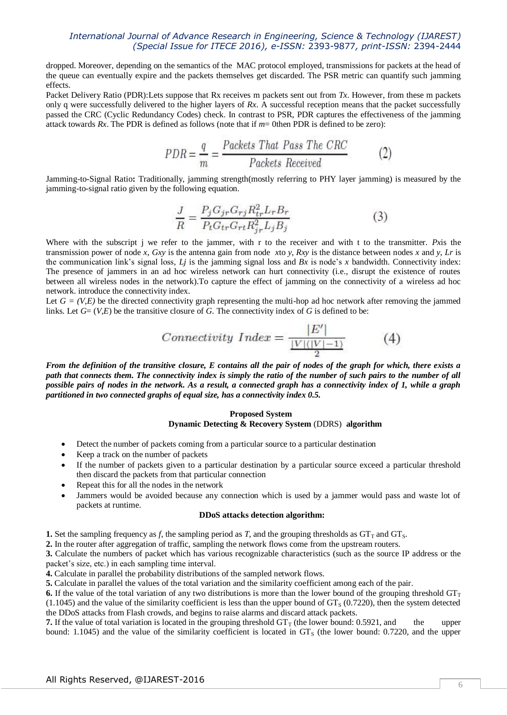dropped. Moreover, depending on the semantics of the MAC protocol employed, transmissions for packets at the head of the queue can eventually expire and the packets themselves get discarded. The PSR metric can quantify such jamming effects.

Packet Delivery Ratio (PDR):Lets suppose that Rx receives m packets sent out from *Tx*. However, from these m packets only q were successfully delivered to the higher layers of *Rx*. A successful reception means that the packet successfully passed the CRC (Cyclic Redundancy Codes) check. In contrast to PSR, PDR captures the effectiveness of the jamming attack towards *Rx*. The PDR is defined as follows (note that if *m*= 0then PDR is defined to be zero):

$$
PDR = \frac{q}{m} = \frac{Packets \; That \; Pass \; The \; CRC}{Packets \; Received} \tag{2}
$$

Jamming-to-Signal Ratio**:** Traditionally, jamming strength(mostly referring to PHY layer jamming) is measured by the jamming-to-signal ratio given by the following equation.

$$
\frac{J}{R} = \frac{P_j G_{jr} G_{rj} R_{tr}^2 L_r B_r}{P_t G_{tr} G_{rt} R_{jr}^2 L_j B_j}
$$
(3)

Where with the subscript j we refer to the jammer, with r to the receiver and with t to the transmitter*. Px*is the transmission power of node *x*, *Gxy* is the antenna gain from node *x*to *y*, *Rxy* is the distance between nodes *x* and *y*, *Lr* is the communication link's signal loss*, Lj* is the jamming signal loss and *Bx* is node's *x* bandwidth. Connectivity index: The presence of jammers in an ad hoc wireless network can hurt connectivity (i.e., disrupt the existence of routes between all wireless nodes in the network).To capture the effect of jamming on the connectivity of a wireless ad hoc network. introduce the connectivity index.

Let  $G = (V, E)$  be the directed connectivity graph representing the multi-hop ad hoc network after removing the jammed links. Let *G*= (*V,E*) be the transitive closure of *G*. The connectivity index of *G* is defined to be:

$$
Connectivity\ Index = \frac{|E'|}{\frac{|V|(|V|-1)}{2}}\tag{4}
$$

*From the definition of the transitive closure, E contains all the pair of nodes of the graph for which, there exists a path that connects them. The connectivity index is simply the ratio of the number of such pairs to the number of all possible pairs of nodes in the network. As a result, a connected graph has a connectivity index of 1, while a graph partitioned in two connected graphs of equal size, has a connectivity index 0.5.*

### **Proposed System Dynamic Detecting & Recovery System** (DDRS) **algorithm**

- Detect the number of packets coming from a particular source to a particular destination
- Keep a track on the number of packets
- If the number of packets given to a particular destination by a particular source exceed a particular threshold then discard the packets from that particular connection
- Repeat this for all the nodes in the network
- Jammers would be avoided because any connection which is used by a jammer would pass and waste lot of packets at runtime.

# **DDoS attacks detection algorithm:**

**1.** Set the sampling frequency as  $f$ , the sampling period as  $T$ , and the grouping thresholds as  $GT_T$  and  $GT_S$ .

**2.** In the router after aggregation of traffic, sampling the network flows come from the upstream routers.

**3.** Calculate the numbers of packet which has various recognizable characteristics (such as the source IP address or the packet's size, etc.) in each sampling time interval.

**4.** Calculate in parallel the probability distributions of the sampled network flows.

**5.** Calculate in parallel the values of the total variation and the similarity coefficient among each of the pair.

**6.** If the value of the total variation of any two distributions is more than the lower bound of the grouping threshold  $GT_T$  $(1.1045)$  and the value of the similarity coefficient is less than the upper bound of  $GT<sub>s</sub>$  (0.7220), then the system detected the DDoS attacks from Flash crowds, and begins to raise alarms and discard attack packets.

**7.** If the value of total variation is located in the grouping threshold  $GT_T$  (the lower bound: 0.5921, and the upper bound: 1.1045) and the value of the similarity coefficient is located in  $GT<sub>S</sub>$  (the lower bound: 0.7220, and the upper